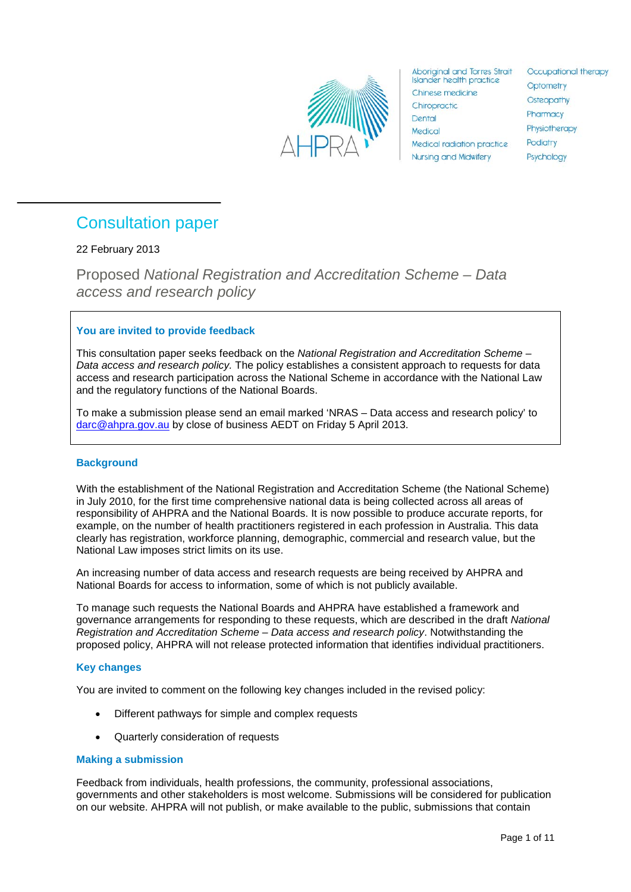

**Aboriginal and Torres Strait Islander health practice** Chinese medicine Chiropractic Dental Medical Medical radiation practice **Nursing and Midwifery** 

Occupational therapy Optometry Osteopathy Pharmacy Physiotherapy Podiatry Psychology

## <span id="page-0-0"></span>Consultation paper

## 22 February 2013

Proposed *National Registration and Accreditation Scheme – Data access and research policy*

## **You are invited to provide feedback**

This consultation paper seeks feedback on the *National Registration and Accreditation Scheme – Data access and research policy.* The policy establishes a consistent approach to requests for data access and research participation across the National Scheme in accordance with the National Law and the regulatory functions of the National Boards.

To make a submission please send an email marked 'NRAS – Data access and research policy' to [darc@ahpra.gov.au](mailto:darc@ahpra.gov.au) by close of business AEDT on Friday 5 April 2013.

## **Background**

With the establishment of the National Registration and Accreditation Scheme (the National Scheme) in July 2010, for the first time comprehensive national data is being collected across all areas of responsibility of AHPRA and the National Boards. It is now possible to produce accurate reports, for example, on the number of health practitioners registered in each profession in Australia. This data clearly has registration, workforce planning, demographic, commercial and research value, but the National Law imposes strict limits on its use.

An increasing number of data access and research requests are being received by AHPRA and National Boards for access to information, some of which is not publicly available.

To manage such requests the National Boards and AHPRA have established a framework and governance arrangements for responding to these requests, which are described in the draft *National Registration and Accreditation Scheme – Data access and research policy*. Notwithstanding the proposed policy, AHPRA will not release protected information that identifies individual practitioners.

## **Key changes**

You are invited to comment on the following key changes included in the revised policy:

- Different pathways for simple and complex requests
- Quarterly consideration of requests

## **Making a submission**

Feedback from individuals, health professions, the community, professional associations, governments and other stakeholders is most welcome. Submissions will be considered for publication on our website. AHPRA will not publish, or make available to the public, submissions that contain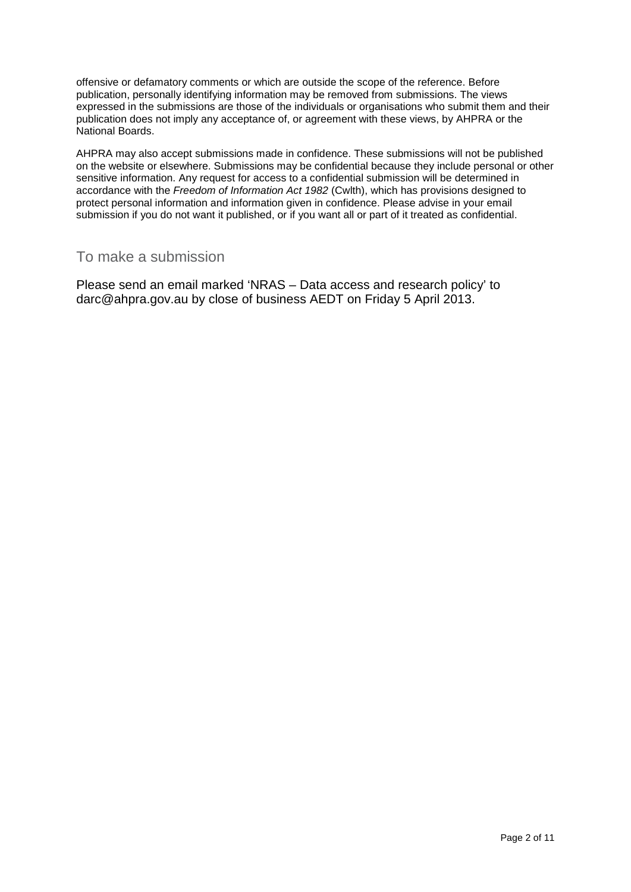offensive or defamatory comments or which are outside the scope of the reference. Before publication, personally identifying information may be removed from submissions. The views expressed in the submissions are those of the individuals or organisations who submit them and their publication does not imply any acceptance of, or agreement with these views, by AHPRA or the National Boards.

AHPRA may also accept submissions made in confidence. These submissions will not be published on the website or elsewhere. Submissions may be confidential because they include personal or other sensitive information. Any request for access to a confidential submission will be determined in accordance with the *Freedom of Information Act 1982* (Cwlth), which has provisions designed to protect personal information and information given in confidence. Please advise in your email submission if you do not want it published, or if you want all or part of it treated as confidential.

## <span id="page-1-0"></span>To make a submission

Please send an email marked 'NRAS – Data access and research policy' to [darc@ahpra.gov.au](mailto:darc@ahpra.gov.au) by close of business AEDT on Friday 5 April 2013.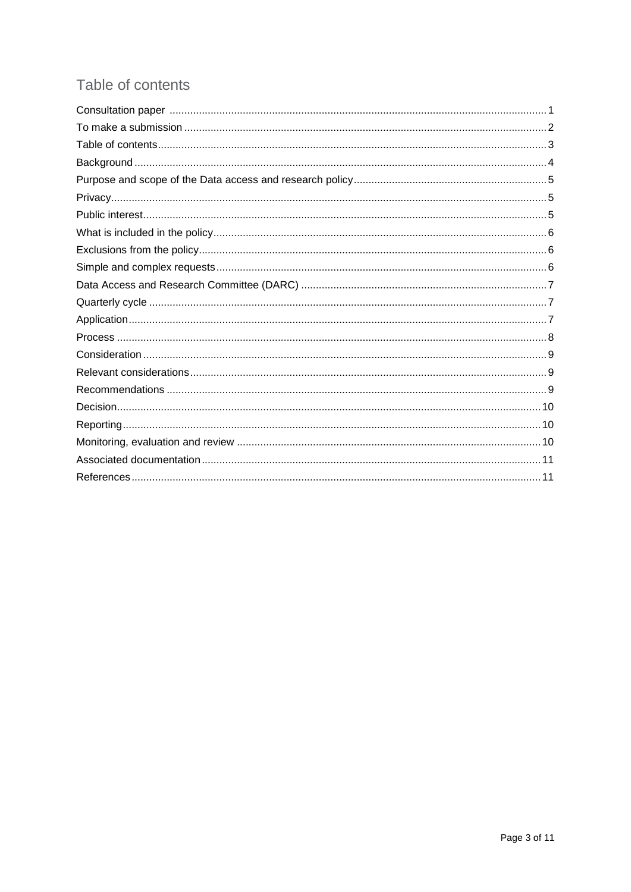## <span id="page-2-0"></span>Table of contents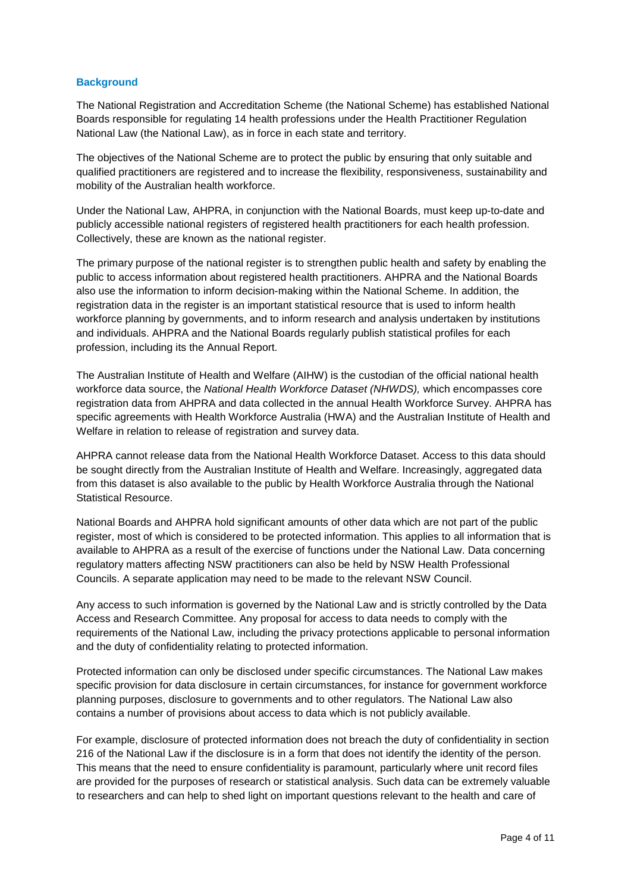## <span id="page-3-0"></span>**Background**

The National Registration and Accreditation Scheme (the National Scheme) has established National Boards responsible for regulating 14 health professions under the Health Practitioner Regulation National Law (the National Law), as in force in each state and territory.

The objectives of the National Scheme are to protect the public by ensuring that only suitable and qualified practitioners are registered and to increase the flexibility, responsiveness, sustainability and mobility of the Australian health workforce.

Under the National Law, AHPRA, in conjunction with the National Boards, must keep up-to-date and publicly accessible national registers of registered health practitioners for each health profession. Collectively, these are known as the national register.

The primary purpose of the national register is to strengthen public health and safety by enabling the public to access information about registered health practitioners. AHPRA and the National Boards also use the information to inform decision-making within the National Scheme. In addition, the registration data in the register is an important statistical resource that is used to inform health workforce planning by governments, and to inform research and analysis undertaken by institutions and individuals. AHPRA and the National Boards regularly publish statistical profiles for each profession, including its the Annual Report.

The Australian Institute of Health and Welfare (AIHW) is the custodian of the official national health workforce data source, the *National Health Workforce Dataset (NHWDS),* which encompasses core registration data from AHPRA and data collected in the annual Health Workforce Survey. AHPRA has specific agreements with Health Workforce Australia (HWA) and the Australian Institute of Health and Welfare in relation to release of registration and survey data.

AHPRA cannot release data from the National Health Workforce Dataset. Access to this data should be sought directly from the Australian Institute of Health and Welfare. Increasingly, aggregated data from this dataset is also available to the public by Health Workforce Australia through the National Statistical Resource.

National Boards and AHPRA hold significant amounts of other data which are not part of the public register, most of which is considered to be protected information. This applies to all information that is available to AHPRA as a result of the exercise of functions under the National Law. Data concerning regulatory matters affecting NSW practitioners can also be held by NSW Health Professional Councils. A separate application may need to be made to the relevant NSW Council.

Any access to such information is governed by the National Law and is strictly controlled by the Data Access and Research Committee. Any proposal for access to data needs to comply with the requirements of the National Law, including the privacy protections applicable to personal information and the duty of confidentiality relating to protected information.

Protected information can only be disclosed under specific circumstances. The National Law makes specific provision for data disclosure in certain circumstances, for instance for government workforce planning purposes, disclosure to governments and to other regulators. The National Law also contains a number of provisions about access to data which is not publicly available.

For example, disclosure of protected information does not breach the duty of confidentiality in section 216 of the National Law if the disclosure is in a form that does not identify the identity of the person. This means that the need to ensure confidentiality is paramount, particularly where unit record files are provided for the purposes of research or statistical analysis. Such data can be extremely valuable to researchers and can help to shed light on important questions relevant to the health and care of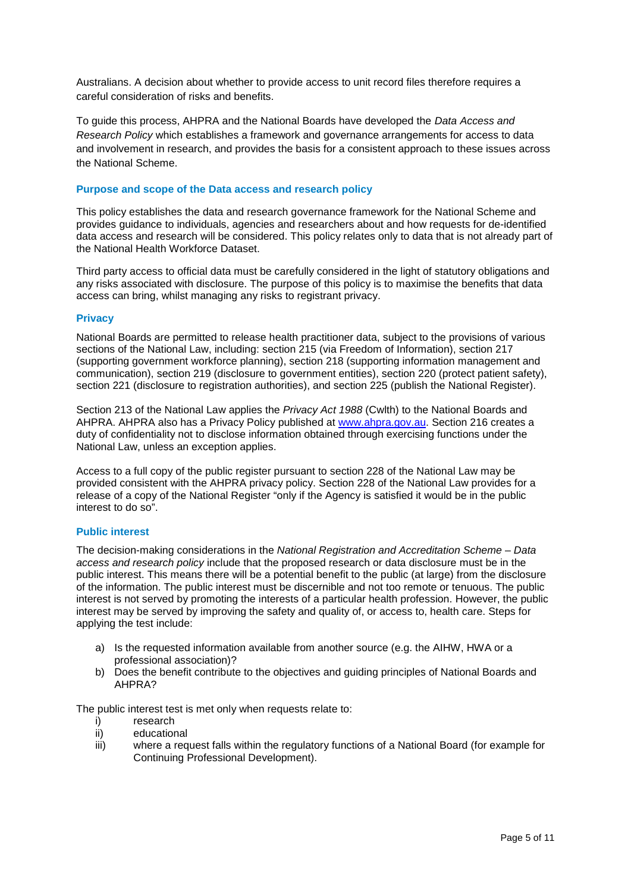Australians. A decision about whether to provide access to unit record files therefore requires a careful consideration of risks and benefits.

To guide this process, AHPRA and the National Boards have developed the *Data Access and Research Policy* which establishes a framework and governance arrangements for access to data and involvement in research, and provides the basis for a consistent approach to these issues across the National Scheme.

## <span id="page-4-0"></span>**Purpose and scope of the Data access and research policy**

This policy establishes the data and research governance framework for the National Scheme and provides guidance to individuals, agencies and researchers about and how requests for de-identified data access and research will be considered. This policy relates only to data that is not already part of the National Health Workforce Dataset.

Third party access to official data must be carefully considered in the light of statutory obligations and any risks associated with disclosure. The purpose of this policy is to maximise the benefits that data access can bring, whilst managing any risks to registrant privacy.

## <span id="page-4-1"></span>**Privacy**

National Boards are permitted to release health practitioner data, subject to the provisions of various sections of the National Law, including: section 215 (via Freedom of Information), section 217 (supporting government workforce planning), section 218 (supporting information management and communication), section 219 (disclosure to government entities), section 220 (protect patient safety), section 221 (disclosure to registration authorities), and section 225 (publish the National Register).

Section 213 of the National Law applies the *Privacy Act 1988* (Cwlth) to the National Boards and AHPRA. AHPRA also has a Privacy Policy published at [www.ahpra.gov.au.](http://www.ahpra.gov.au/) Section 216 creates a duty of confidentiality not to disclose information obtained through exercising functions under the National Law, unless an exception applies.

Access to a full copy of the public register pursuant to section 228 of the National Law may be provided consistent with the AHPRA privacy policy. Section 228 of the National Law provides for a release of a copy of the National Register "only if the Agency is satisfied it would be in the public interest to do so".

## <span id="page-4-2"></span>**Public interest**

The decision-making considerations in the *National Registration and Accreditation Scheme* – *Data access and research policy* include that the proposed research or data disclosure must be in the public interest. This means there will be a potential benefit to the public (at large) from the disclosure of the information. The public interest must be discernible and not too remote or tenuous. The public interest is not served by promoting the interests of a particular health profession. However, the public interest may be served by improving the safety and quality of, or access to, health care. Steps for applying the test include:

- a) Is the requested information available from another source (e.g. the AIHW, HWA or a professional association)?
- b) Does the benefit contribute to the objectives and guiding principles of National Boards and AHPRA?

The public interest test is met only when requests relate to:

- i) research
- ii) educational
- iii) where a request falls within the regulatory functions of a National Board (for example for Continuing Professional Development).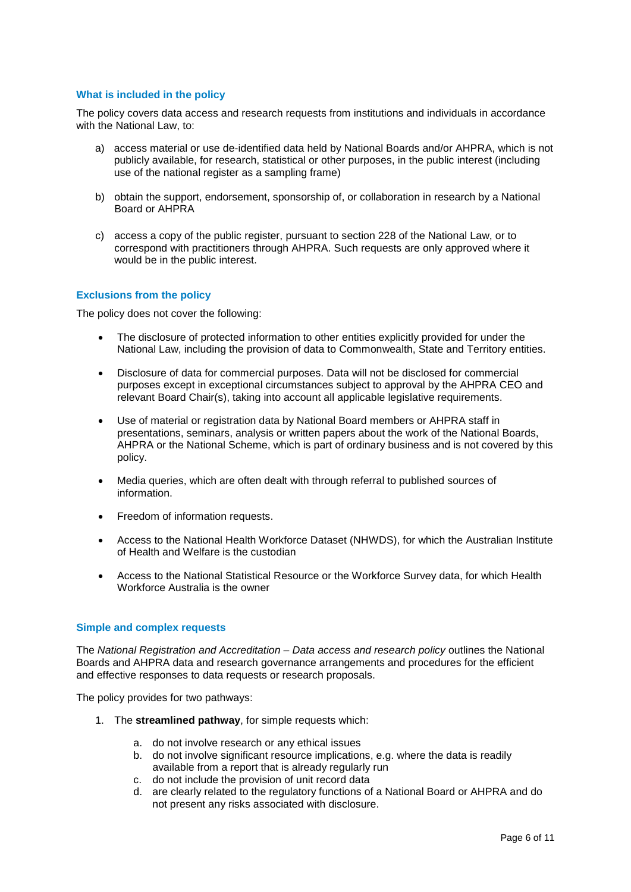## <span id="page-5-0"></span>**What is included in the policy**

The policy covers data access and research requests from institutions and individuals in accordance with the National Law, to:

- a) access material or use de-identified data held by National Boards and/or AHPRA, which is not publicly available, for research, statistical or other purposes, in the public interest (including use of the national register as a sampling frame)
- b) obtain the support, endorsement, sponsorship of, or collaboration in research by a National Board or AHPRA
- c) access a copy of the public register, pursuant to section 228 of the National Law, or to correspond with practitioners through AHPRA. Such requests are only approved where it would be in the public interest.

### <span id="page-5-1"></span>**Exclusions from the policy**

The policy does not cover the following:

- The disclosure of protected information to other entities explicitly provided for under the National Law, including the provision of data to Commonwealth, State and Territory entities.
- Disclosure of data for commercial purposes. Data will not be disclosed for commercial purposes except in exceptional circumstances subject to approval by the AHPRA CEO and relevant Board Chair(s), taking into account all applicable legislative requirements.
- Use of material or registration data by National Board members or AHPRA staff in presentations, seminars, analysis or written papers about the work of the National Boards, AHPRA or the National Scheme, which is part of ordinary business and is not covered by this policy.
- Media queries, which are often dealt with through referral to published sources of information.
- Freedom of information requests.
- Access to the National Health Workforce Dataset (NHWDS), for which the Australian Institute of Health and Welfare is the custodian
- Access to the National Statistical Resource or the Workforce Survey data, for which Health Workforce Australia is the owner

### <span id="page-5-2"></span>**Simple and complex requests**

The *National Registration and Accreditation – Data access and research policy* outlines the National Boards and AHPRA data and research governance arrangements and procedures for the efficient and effective responses to data requests or research proposals.

The policy provides for two pathways:

- 1. The **streamlined pathway**, for simple requests which:
	- a. do not involve research or any ethical issues
	- b. do not involve significant resource implications, e.g. where the data is readily available from a report that is already regularly run
	- c. do not include the provision of unit record data
	- d. are clearly related to the regulatory functions of a National Board or AHPRA and do not present any risks associated with disclosure.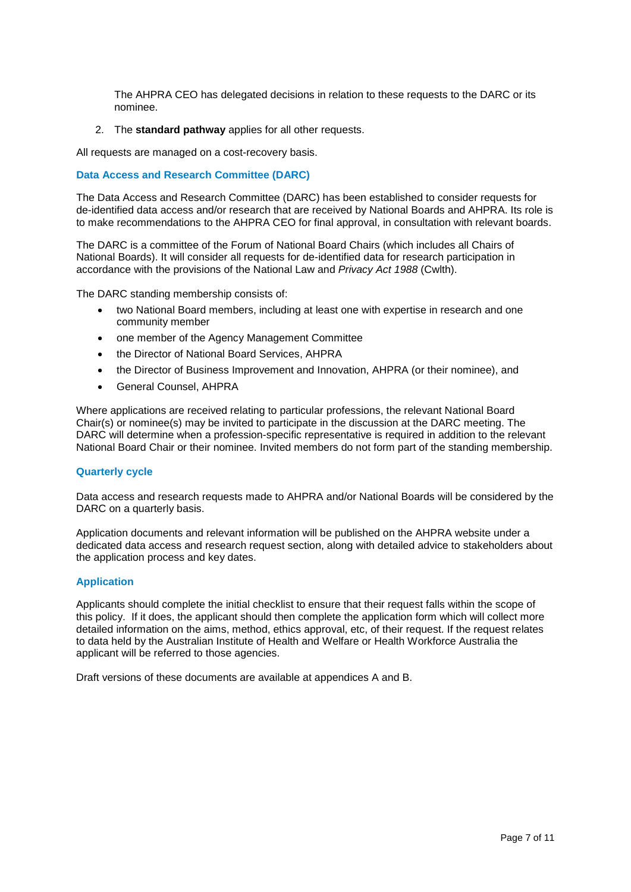The AHPRA CEO has delegated decisions in relation to these requests to the DARC or its nominee.

2. The **standard pathway** applies for all other requests.

All requests are managed on a cost-recovery basis.

### <span id="page-6-0"></span>**Data Access and Research Committee (DARC)**

The Data Access and Research Committee (DARC) has been established to consider requests for de-identified data access and/or research that are received by National Boards and AHPRA. Its role is to make recommendations to the AHPRA CEO for final approval, in consultation with relevant boards.

The DARC is a committee of the Forum of National Board Chairs (which includes all Chairs of National Boards). It will consider all requests for de-identified data for research participation in accordance with the provisions of the National Law and *Privacy Act 1988* (Cwlth).

The DARC standing membership consists of:

- two National Board members, including at least one with expertise in research and one community member
- one member of the Agency Management Committee
- the Director of National Board Services, AHPRA
- the Director of Business Improvement and Innovation, AHPRA (or their nominee), and
- General Counsel, AHPRA

Where applications are received relating to particular professions, the relevant National Board Chair(s) or nominee(s) may be invited to participate in the discussion at the DARC meeting. The DARC will determine when a profession-specific representative is required in addition to the relevant National Board Chair or their nominee. Invited members do not form part of the standing membership.

#### <span id="page-6-1"></span>**Quarterly cycle**

Data access and research requests made to AHPRA and/or National Boards will be considered by the DARC on a quarterly basis.

Application documents and relevant information will be published on the AHPRA website under a dedicated data access and research request section, along with detailed advice to stakeholders about the application process and key dates.

### <span id="page-6-2"></span>**Application**

Applicants should complete the initial checklist to ensure that their request falls within the scope of this policy. If it does, the applicant should then complete the application form which will collect more detailed information on the aims, method, ethics approval, etc, of their request. If the request relates to data held by the Australian Institute of Health and Welfare or Health Workforce Australia the applicant will be referred to those agencies.

Draft versions of these documents are available at appendices A and B.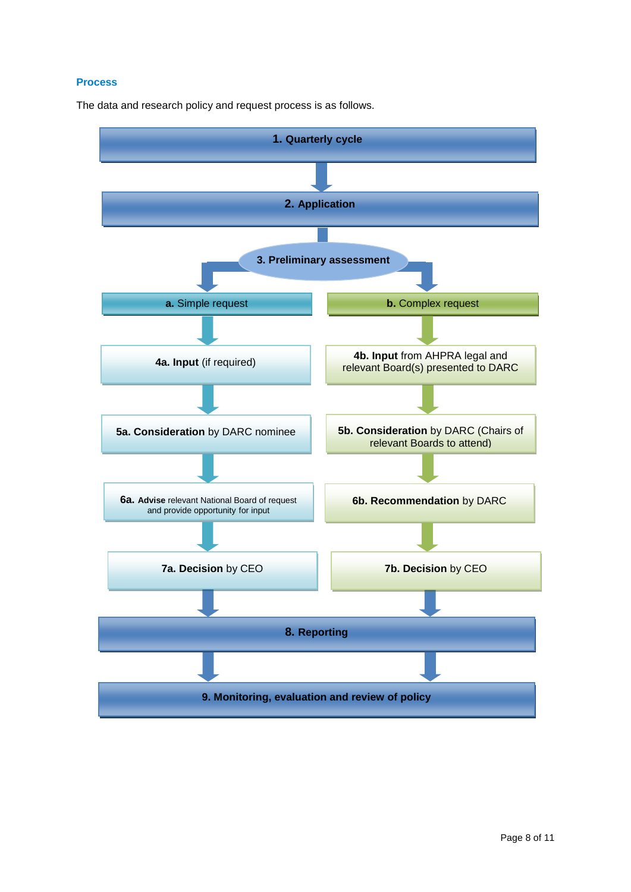## <span id="page-7-0"></span>**Process**

The data and research policy and request process is as follows.

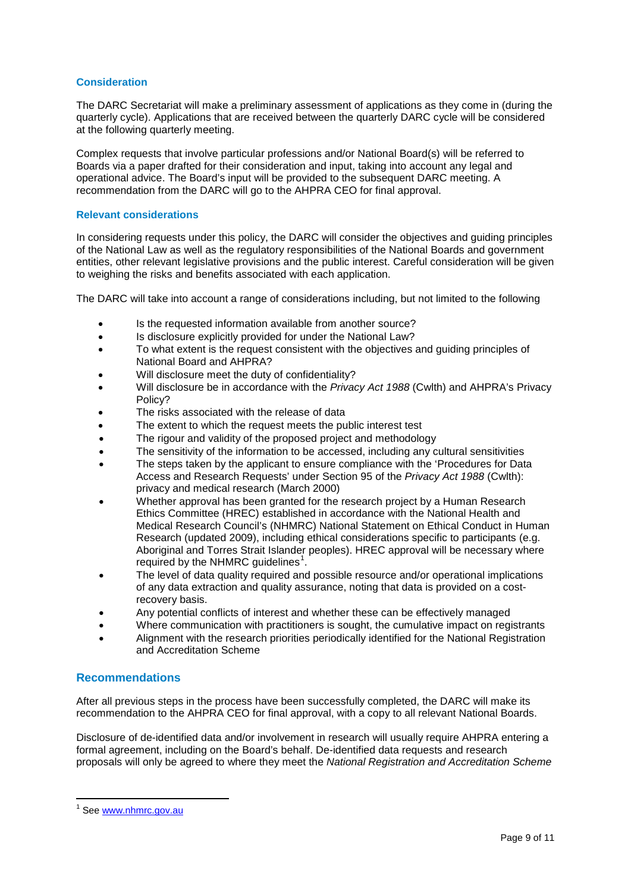## <span id="page-8-0"></span>**Consideration**

The DARC Secretariat will make a preliminary assessment of applications as they come in (during the quarterly cycle). Applications that are received between the quarterly DARC cycle will be considered at the following quarterly meeting.

Complex requests that involve particular professions and/or National Board(s) will be referred to Boards via a paper drafted for their consideration and input, taking into account any legal and operational advice. The Board's input will be provided to the subsequent DARC meeting. A recommendation from the DARC will go to the AHPRA CEO for final approval.

## <span id="page-8-1"></span>**Relevant considerations**

In considering requests under this policy, the DARC will consider the objectives and guiding principles of the National Law as well as the regulatory responsibilities of the National Boards and government entities, other relevant legislative provisions and the public interest. Careful consideration will be given to weighing the risks and benefits associated with each application.

The DARC will take into account a range of considerations including, but not limited to the following

- Is the requested information available from another source?
- Is disclosure explicitly provided for under the National Law?
- To what extent is the request consistent with the objectives and guiding principles of National Board and AHPRA?
- Will disclosure meet the duty of confidentiality?
- Will disclosure be in accordance with the *Privacy Act 1988* (Cwlth) and AHPRA's Privacy Policy?
- The risks associated with the release of data
- The extent to which the request meets the public interest test
- The rigour and validity of the proposed project and methodology
- The sensitivity of the information to be accessed, including any cultural sensitivities
- The steps taken by the applicant to ensure compliance with the ['Procedures for Data](http://www.privacy.gov.au/materials/types/download/8659/6503)  [Access and Research Requests' under Section 95 of the](http://www.privacy.gov.au/materials/types/download/8659/6503) *Privacy Act 1988* (Cwlth): [privacy and medical research \(March 2000\)](http://www.privacy.gov.au/materials/types/download/8659/6503)
- Whether approval has been granted for the research project by a Human Research Ethics Committee (HREC) established in accordance with the National Health and Medical Research Council's (NHMRC) National Statement on Ethical Conduct in Human Research (updated 2009), including ethical considerations specific to participants (e.g. Aboriginal and Torres Strait Islander peoples). HREC approval will be necessary where required by the NHMRC guidelines $^1$  $^1$ .
- The level of data quality required and possible resource and/or operational implications of any data extraction and quality assurance, noting that data is provided on a costrecovery basis.
- Any potential conflicts of interest and whether these can be effectively managed
- Where communication with practitioners is sought, the cumulative impact on registrants
- Alignment with the research priorities periodically identified for the National Registration and Accreditation Scheme

## <span id="page-8-2"></span>**Recommendations**

After all previous steps in the process have been successfully completed, the DARC will make its recommendation to the AHPRA CEO for final approval, with a copy to all relevant National Boards.

Disclosure of de-identified data and/or involvement in research will usually require AHPRA entering a formal agreement, including on the Board's behalf. De-identified data requests and research proposals will only be agreed to where they meet the *National Registration and Accreditation Scheme* 

<span id="page-8-3"></span><sup>&</sup>lt;sup>1</sup> See [www.nhmrc.gov.au](http://www.nhmrc.gov.au/)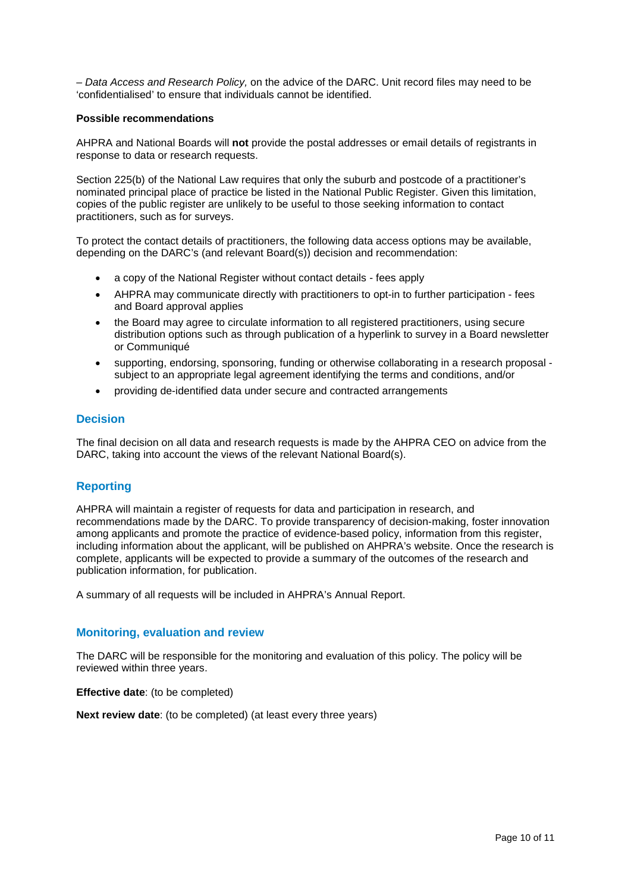*– Data Access and Research Policy,* on the advice of the DARC. Unit record files may need to be 'confidentialised' to ensure that individuals cannot be identified.

## **Possible recommendations**

AHPRA and National Boards will **not** provide the postal addresses or email details of registrants in response to data or research requests.

Section 225(b) of the National Law requires that only the suburb and postcode of a practitioner's nominated principal place of practice be listed in the National Public Register. Given this limitation, copies of the public register are unlikely to be useful to those seeking information to contact practitioners, such as for surveys.

To protect the contact details of practitioners, the following data access options may be available, depending on the DARC's (and relevant Board(s)) decision and recommendation:

- a copy of the National Register without contact details fees apply
- AHPRA may communicate directly with practitioners to opt-in to further participation fees and Board approval applies
- the Board may agree to circulate information to all registered practitioners, using secure distribution options such as through publication of a hyperlink to survey in a Board newsletter or Communiqué
- supporting, endorsing, sponsoring, funding or otherwise collaborating in a research proposal subject to an appropriate legal agreement identifying the terms and conditions, and/or
- providing de-identified data under secure and contracted arrangements

## <span id="page-9-0"></span>**Decision**

The final decision on all data and research requests is made by the AHPRA CEO on advice from the DARC, taking into account the views of the relevant National Board(s).

## <span id="page-9-1"></span>**Reporting**

AHPRA will maintain a register of requests for data and participation in research, and recommendations made by the DARC. To provide transparency of decision-making, foster innovation among applicants and promote the practice of evidence-based policy, information from this register, including information about the applicant, will be published on AHPRA's website. Once the research is complete, applicants will be expected to provide a summary of the outcomes of the research and publication information, for publication.

A summary of all requests will be included in AHPRA's Annual Report.

## <span id="page-9-2"></span>**Monitoring, evaluation and review**

The DARC will be responsible for the monitoring and evaluation of this policy. The policy will be reviewed within three years.

**Effective date**: (to be completed)

**Next review date**: (to be completed) (at least every three years)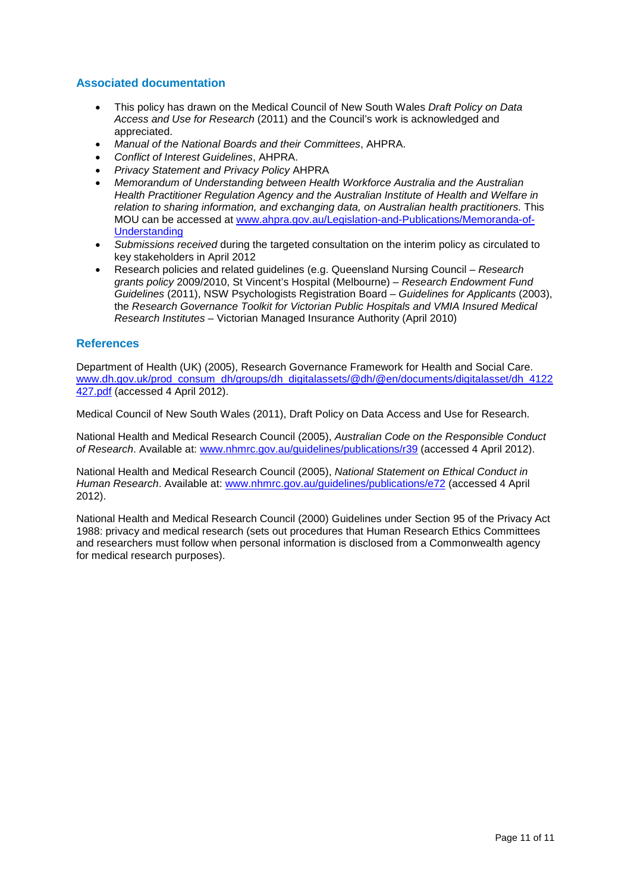## <span id="page-10-0"></span>**Associated documentation**

- This policy has drawn on the Medical Council of New South Wales *Draft Policy on Data Access and Use for Research* (2011) and the Council's work is acknowledged and appreciated.
- *Manual of the National Boards and their Committees*, AHPRA.
- *Conflict of Interest Guidelines*, AHPRA.
- *Privacy Statement and Privacy Policy* AHPRA
- *Memorandum of Understanding between Health Workforce Australia and the Australian Health Practitioner Regulation Agency and the Australian Institute of Health and Welfare in*  relation to sharing information, and exchanging data, on Australian health practitioners. This MOU can be accessed at [www.ahpra.gov.au/Legislation-and-Publications/Memoranda-of-](http://www.ahpra.gov.au/Legislation-and-Publications/Memoranda-of-Understanding.aspx)**[Understanding](http://www.ahpra.gov.au/Legislation-and-Publications/Memoranda-of-Understanding.aspx)**
- *Submissions received* during the targeted consultation on the interim policy as circulated to key stakeholders in April 2012
- Research policies and related guidelines (e.g. Queensland Nursing Council *– Research grants policy* 2009/2010, St Vincent's Hospital (Melbourne) – *Research Endowment Fund Guidelines* (2011), NSW Psychologists Registration Board – *Guidelines for Applicants* (2003), the *Research Governance Toolkit for Victorian Public Hospitals and VMIA Insured Medical Research Institutes* – Victorian Managed Insurance Authority (April 2010)

## <span id="page-10-1"></span>**References**

Department of Health (UK) (2005), Research Governance Framework for Health and Social Care. [www.dh.gov.uk/prod\\_consum\\_dh/groups/dh\\_digitalassets/@dh/@en/documents/digitalasset/dh\\_4122](http://www.dh.gov.uk/prod_consum_dh/groups/dh_digitalassets/@dh/@en/documents/digitalasset/dh_4122427.pdf) [427.pdf](http://www.dh.gov.uk/prod_consum_dh/groups/dh_digitalassets/@dh/@en/documents/digitalasset/dh_4122427.pdf) (accessed 4 April 2012).

Medical Council of New South Wales (2011), Draft Policy on Data Access and Use for Research.

National Health and Medical Research Council (2005), *Australian Code on the Responsible Conduct of Research*. Available at: [www.nhmrc.gov.au/guidelines/publications/r39](http://www.nhmrc.gov.au/guidelines/publications/r39) (accessed 4 April 2012).

National Health and Medical Research Council (2005), *National Statement on Ethical Conduct in Human Research*. Available at: [www.nhmrc.gov.au/guidelines/publications/e72](http://www.nhmrc.gov.au/guidelines/publications/e72) (accessed 4 April 2012).

National Health and Medical Research Council (2000) Guidelines under Section 95 of the Privacy Act 1988: privacy and medical research (sets out procedures that Human Research Ethics Committees and researchers must follow when personal information is disclosed from a Commonwealth agency for medical research purposes).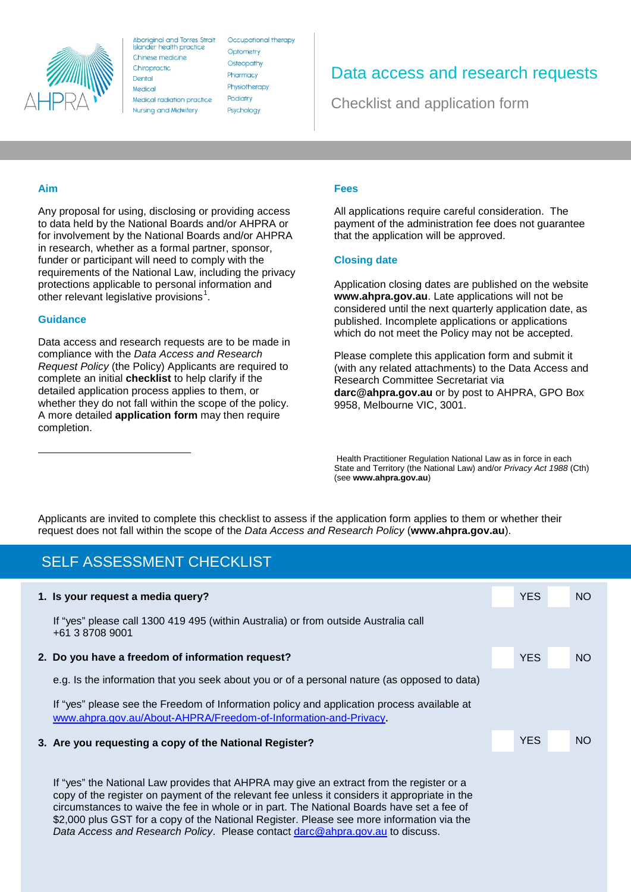

**Aboriginal and Torres Strait** Islander health practice Chinese medicine Chiropractic Dental Medical Medical radiation practice **Nursing and Midwifery** 

Occupational therapy Optometry Osteopathy Pharmacy Physiotherapy Podiatry Psychology

## Data access and research requests

Checklist and application form

## **Aim**

Any proposal for using, disclosing or providing access to data held by the National Boards and/or AHPRA or for involvement by the National Boards and/or AHPRA in research, whether as a formal partner, sponsor, funder or participant will need to comply with the requirements of the National Law, including the privacy protections applicable to personal information and other relevant legislative provisions<sup>[1](#page-11-0)</sup>.

## **Guidance**

<span id="page-11-0"></span><u>.</u>

Data access and research requests are to be made in compliance with the *Data Access and Research Request Policy* (the Policy) Applicants are required to complete an initial **checklist** to help clarify if the detailed application process applies to them, or whether they do not fall within the scope of the policy. A more detailed **application form** may then require completion.

#### **Fees**

All applications require careful consideration. The payment of the administration fee does not guarantee that the application will be approved.

## **Closing date**

Application closing dates are published on the website **www.ahpra.gov.au**. Late applications will not be considered until the next quarterly application date, as published. Incomplete applications or applications which do not meet the Policy may not be accepted.

Please complete this application form and submit it (with any related attachments) to the Data Access and Research Committee Secretariat via **darc@ahpra.gov.au** or by post to AHPRA, GPO Box 9958, Melbourne VIC, 3001.

Health Practitioner Regulation National Law as in force in each State and Territory (the National Law) and/or *Privacy Act 1988* (Cth) (see **www.ahpra.gov.au**)

Applicants are invited to complete this checklist to assess if the application form applies to them or whether their request does not fall within the scope of the *Data Access and Research Policy* (**www.ahpra.gov.au**).

## SELF ASSESSMENT CHECKLIST

| 1. Is your request a media query?                                                                                                                              | <b>YES</b> | NO <sub>1</sub> |
|----------------------------------------------------------------------------------------------------------------------------------------------------------------|------------|-----------------|
| If "yes" please call 1300 419 495 (within Australia) or from outside Australia call<br>+61 3 8708 9001                                                         |            |                 |
| 2. Do you have a freedom of information request?                                                                                                               | <b>YES</b> | <b>NO</b>       |
| e.g. Is the information that you seek about you or of a personal nature (as opposed to data)                                                                   |            |                 |
| If "yes" please see the Freedom of Information policy and application process available at<br>www.ahpra.gov.au/About-AHPRA/Freedom-of-Information-and-Privacy. |            |                 |
| 3. Are you requesting a copy of the National Register?                                                                                                         | <b>YES</b> | <b>NO</b>       |
|                                                                                                                                                                |            |                 |
| If "yea" the Netianal Lawnsayidea that $\Delta$ UDDA moves ive an outrast from the register or a                                                               |            |                 |

If "yes" the National Law provides that AHPRA may give an extract from the register or a copy of the register on payment of the relevant fee unless it considers it appropriate in the circumstances to waive the fee in whole or in part. The National Boards have set a fee of \$2,000 plus GST for a copy of the National Register. Please see more information via the *Data Access and Research Policy*. Please contact [darc@ahpra.gov.au](mailto:darc@ahpra.gov.au) to discuss.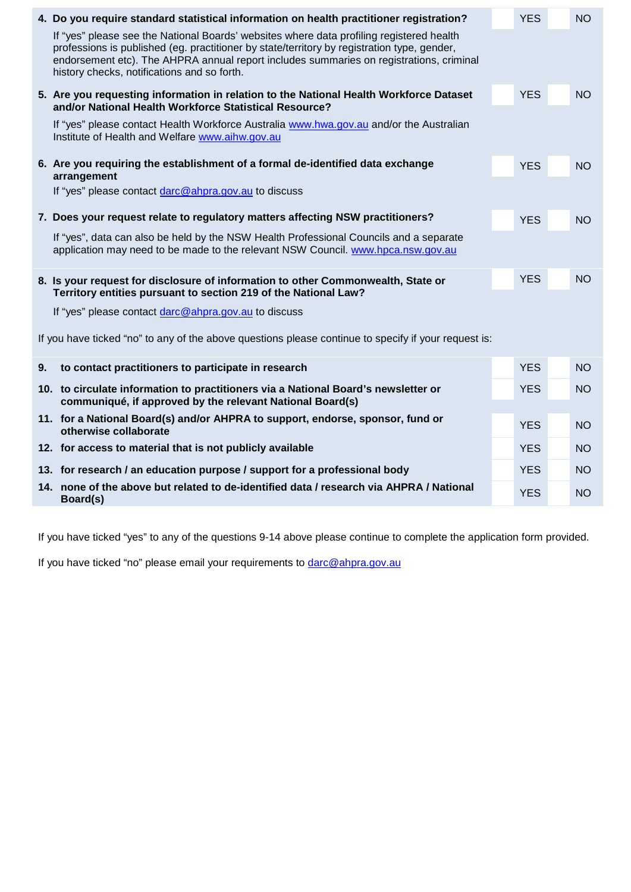|    | 4. Do you require standard statistical information on health practitioner registration?                                                                                                                                                                                                                                           | <b>YES</b> | <b>NO</b> |
|----|-----------------------------------------------------------------------------------------------------------------------------------------------------------------------------------------------------------------------------------------------------------------------------------------------------------------------------------|------------|-----------|
|    | If "yes" please see the National Boards' websites where data profiling registered health<br>professions is published (eg. practitioner by state/territory by registration type, gender,<br>endorsement etc). The AHPRA annual report includes summaries on registrations, criminal<br>history checks, notifications and so forth. |            |           |
|    | 5. Are you requesting information in relation to the National Health Workforce Dataset<br>and/or National Health Workforce Statistical Resource?                                                                                                                                                                                  | <b>YES</b> | <b>NO</b> |
|    | If "yes" please contact Health Workforce Australia www.hwa.gov.au and/or the Australian<br>Institute of Health and Welfare www.aihw.gov.au                                                                                                                                                                                        |            |           |
|    | 6. Are you requiring the establishment of a formal de-identified data exchange<br>arrangement                                                                                                                                                                                                                                     | <b>YES</b> | <b>NO</b> |
|    | If "yes" please contact darc@ahpra.gov.au to discuss                                                                                                                                                                                                                                                                              |            |           |
|    | 7. Does your request relate to regulatory matters affecting NSW practitioners?                                                                                                                                                                                                                                                    | <b>YES</b> | <b>NO</b> |
|    | If "yes", data can also be held by the NSW Health Professional Councils and a separate<br>application may need to be made to the relevant NSW Council. www.hpca.nsw.gov.au                                                                                                                                                        |            |           |
|    | 8. Is your request for disclosure of information to other Commonwealth, State or<br>Territory entities pursuant to section 219 of the National Law?                                                                                                                                                                               | <b>YES</b> | <b>NO</b> |
|    | If "yes" please contact darc@ahpra.gov.au to discuss                                                                                                                                                                                                                                                                              |            |           |
|    | If you have ticked "no" to any of the above questions please continue to specify if your request is:                                                                                                                                                                                                                              |            |           |
| 9. | to contact practitioners to participate in research                                                                                                                                                                                                                                                                               | <b>YES</b> | <b>NO</b> |
|    | 10. to circulate information to practitioners via a National Board's newsletter or<br>communiqué, if approved by the relevant National Board(s)                                                                                                                                                                                   | <b>YES</b> | <b>NO</b> |
|    | 11. for a National Board(s) and/or AHPRA to support, endorse, sponsor, fund or<br>otherwise collaborate                                                                                                                                                                                                                           | <b>YES</b> | <b>NO</b> |
|    | 12. for access to material that is not publicly available                                                                                                                                                                                                                                                                         | <b>YES</b> | <b>NO</b> |
|    | 13. for research / an education purpose / support for a professional body                                                                                                                                                                                                                                                         | <b>YES</b> | <b>NO</b> |
|    | 14. none of the above but related to de-identified data / research via AHPRA / National<br>Board(s)                                                                                                                                                                                                                               | <b>YES</b> | <b>NO</b> |

If you have ticked "yes" to any of the questions 9-14 above please continue to complete the application form provided.

If you have ticked "no" please email your requirements to [darc@ahpra.gov.au](mailto:darc@ahpra.gov.au)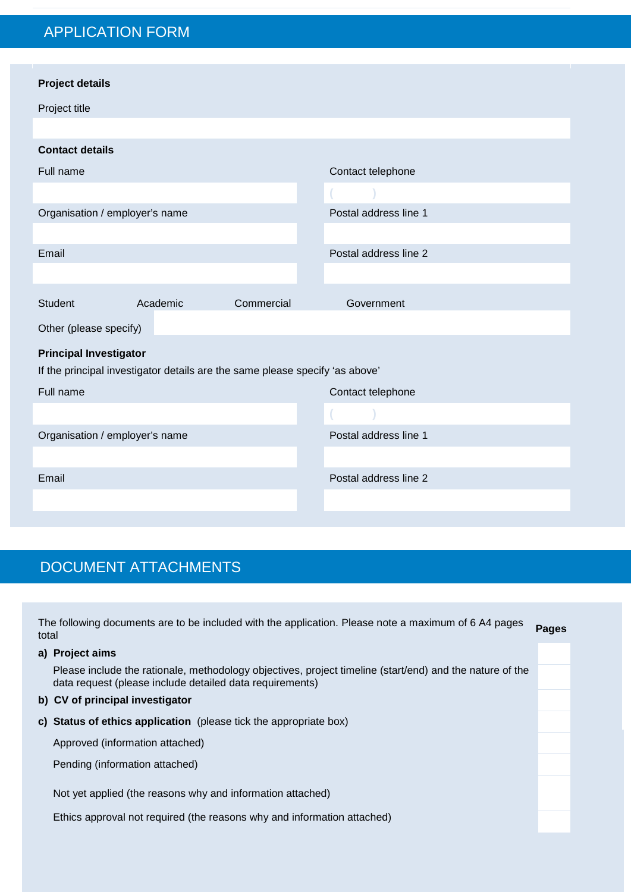# APPLICATION FORM

| <b>Project details</b>         |                                                                              |            |                       |  |  |  |  |  |  |  |
|--------------------------------|------------------------------------------------------------------------------|------------|-----------------------|--|--|--|--|--|--|--|
| Project title                  |                                                                              |            |                       |  |  |  |  |  |  |  |
|                                |                                                                              |            |                       |  |  |  |  |  |  |  |
| <b>Contact details</b>         |                                                                              |            |                       |  |  |  |  |  |  |  |
| Full name                      |                                                                              |            | Contact telephone     |  |  |  |  |  |  |  |
|                                |                                                                              |            |                       |  |  |  |  |  |  |  |
| Organisation / employer's name |                                                                              |            | Postal address line 1 |  |  |  |  |  |  |  |
|                                |                                                                              |            |                       |  |  |  |  |  |  |  |
| Email                          |                                                                              |            | Postal address line 2 |  |  |  |  |  |  |  |
|                                |                                                                              |            |                       |  |  |  |  |  |  |  |
| <b>Student</b>                 | Academic                                                                     | Commercial | Government            |  |  |  |  |  |  |  |
| Other (please specify)         |                                                                              |            |                       |  |  |  |  |  |  |  |
| <b>Principal Investigator</b>  |                                                                              |            |                       |  |  |  |  |  |  |  |
|                                | If the principal investigator details are the same please specify 'as above' |            |                       |  |  |  |  |  |  |  |
| Full name                      |                                                                              |            | Contact telephone     |  |  |  |  |  |  |  |
|                                |                                                                              |            |                       |  |  |  |  |  |  |  |
| Organisation / employer's name |                                                                              |            | Postal address line 1 |  |  |  |  |  |  |  |
|                                |                                                                              |            |                       |  |  |  |  |  |  |  |
| Email                          |                                                                              |            | Postal address line 2 |  |  |  |  |  |  |  |
|                                |                                                                              |            |                       |  |  |  |  |  |  |  |
|                                |                                                                              |            |                       |  |  |  |  |  |  |  |

# DOCUMENT ATTACHMENTS

| total | The following documents are to be included with the application. Please note a maximum of 6 A4 pages                                                                 | <b>Pages</b> |
|-------|----------------------------------------------------------------------------------------------------------------------------------------------------------------------|--------------|
|       | a) Project aims                                                                                                                                                      |              |
|       | Please include the rationale, methodology objectives, project timeline (start/end) and the nature of the<br>data request (please include detailed data requirements) |              |
|       | b) CV of principal investigator                                                                                                                                      |              |
|       | c) Status of ethics application (please tick the appropriate box)                                                                                                    |              |
|       | Approved (information attached)                                                                                                                                      |              |
|       | Pending (information attached)                                                                                                                                       |              |
|       | Not yet applied (the reasons why and information attached)                                                                                                           |              |
|       | Ethics approval not required (the reasons why and information attached)                                                                                              |              |